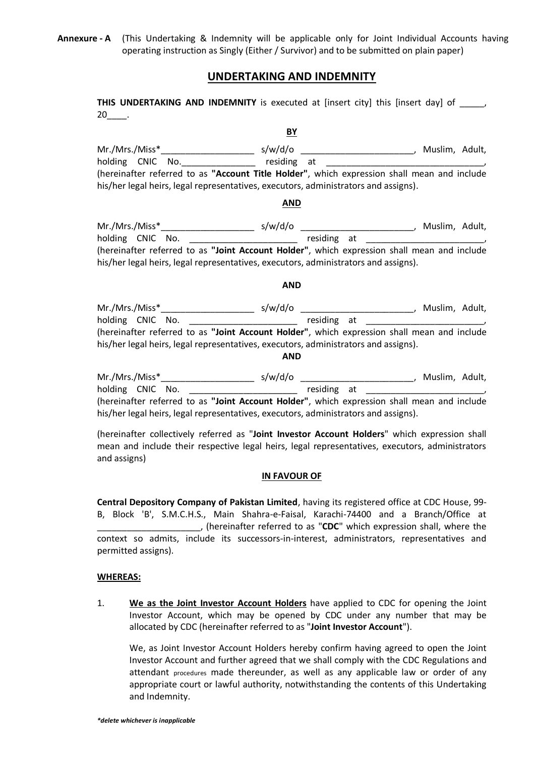**Annexure - A** (This Undertaking & Indemnity will be applicable only for Joint Individual Accounts having operating instruction as Singly (Either / Survivor) and to be submitted on plain paper)

# **UNDERTAKING AND INDEMNITY**

**THIS UNDERTAKING AND INDEMNITY** is executed at [insert city] this [insert day] of  $\qquad$  $20$ \_\_\_\_.

# **BY**

Mr./Mrs./Miss\*\_\_\_\_\_\_\_\_\_\_\_\_\_\_\_\_\_\_\_ s/w/d/o \_\_\_\_\_\_\_\_\_\_\_\_\_\_\_\_\_\_\_\_\_\_\_, Muslim, Adult,  $h_{\text{residing at}}$  residing at  $\frac{1}{\sqrt{1-\frac{1}{n}}}$ (hereinafter referred to as **"Account Title Holder"**, which expression shall mean and include his/her legal heirs, legal representatives, executors, administrators and assigns).

### **AND**

Mr./Mrs./Miss\*\_\_\_\_\_\_\_\_\_\_\_\_\_\_\_\_\_\_\_ s/w/d/o \_\_\_\_\_\_\_\_\_\_\_\_\_\_\_\_\_\_\_\_\_\_\_, Muslim, Adult, holding CNIC No. \_\_\_\_\_\_\_\_\_\_\_\_\_\_\_\_\_\_\_\_\_\_ residing at \_\_\_\_\_\_\_\_\_\_\_\_\_\_\_\_\_\_\_\_\_\_\_\_, (hereinafter referred to as **"Joint Account Holder"**, which expression shall mean and include his/her legal heirs, legal representatives, executors, administrators and assigns).

## **AND**

| Mr./Mrs./Miss*   | s/w/d/o                                                                                     | Muslim, Adult, |
|------------------|---------------------------------------------------------------------------------------------|----------------|
| holding CNIC No. | residing at                                                                                 |                |
|                  | (hereinafter referred to as "Joint Account Holder", which expression shall mean and include |                |
|                  | his/her legal heirs, legal representatives, executors, administrators and assigns).         |                |
|                  |                                                                                             |                |

#### **AND**

| Mr./Mrs./Miss*   | s/w/d/o                                                                                     | Muslim, Adult, |
|------------------|---------------------------------------------------------------------------------------------|----------------|
| holding CNIC No. | residing at                                                                                 |                |
|                  | (hereinafter referred to as "Joint Account Holder", which expression shall mean and include |                |
|                  | his/her legal heirs, legal representatives, executors, administrators and assigns).         |                |

(hereinafter collectively referred as "**Joint Investor Account Holders**" which expression shall mean and include their respective legal heirs, legal representatives, executors, administrators and assigns)

### **IN FAVOUR OF**

**Central Depository Company of Pakistan Limited**, having its registered office at CDC House, 99- B, Block 'B', S.M.C.H.S., Main Shahra-e-Faisal, Karachi-74400 and a Branch/Office at \_\_\_\_\_\_\_\_\_\_\_\_\_\_\_\_\_\_\_\_\_, (hereinafter referred to as "**CDC**" which expression shall, where the context so admits, include its successors-in-interest, administrators, representatives and permitted assigns).

# **WHEREAS:**

1. **We as the Joint Investor Account Holders** have applied to CDC for opening the Joint Investor Account, which may be opened by CDC under any number that may be allocated by CDC (hereinafter referred to as "**Joint Investor Account**").

We, as Joint Investor Account Holders hereby confirm having agreed to open the Joint Investor Account and further agreed that we shall comply with the CDC Regulations and attendant procedures made thereunder, as well as any applicable law or order of any appropriate court or lawful authority, notwithstanding the contents of this Undertaking and Indemnity.